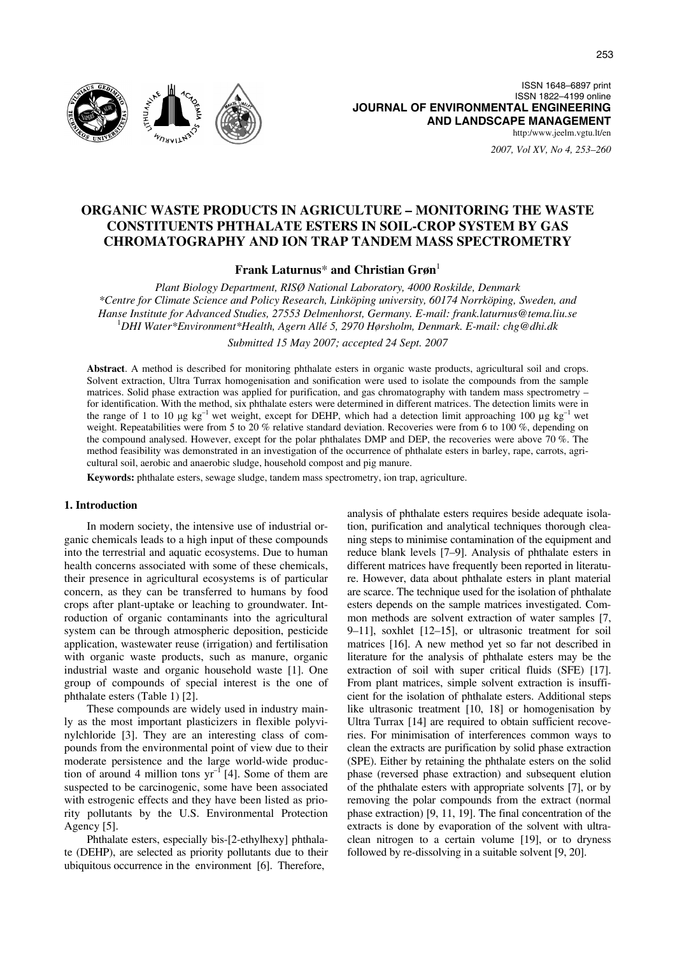

ISSN 1648–6897 print ISSN 1822–4199 online **JOURNAL OF ENVIRONMENTAL ENGINEERING AND LANDSCAPE MANAGEMENT** http:/www.jeelm.vgtu.lt/en

*2007, Vol XV, No 4, 253–260*

# **ORGANIC WASTE PRODUCTS IN AGRICULTURE – MONITORING THE WASTE CONSTITUENTS PHTHALATE ESTERS IN SOIL-CROP SYSTEM BY GAS CHROMATOGRAPHY AND ION TRAP TANDEM MASS SPECTROMETRY**

**Frank Laturnus**\* **and Christian Grøn**<sup>1</sup>

*Plant Biology Department, RISØ National Laboratory, 4000 Roskilde, Denmark \*Centre for Climate Science and Policy Research, Linköping university, 60174 Norrköping, Sweden, and Hanse Institute for Advanced Studies, 27553 Delmenhorst, Germany. E-mail: frank.laturnus@tema.liu.se* <sup>1</sup> *DHI Water\*Environment\*Health, Agern Allé 5, 2970 Hørsholm, Denmark. E-mail: chg@dhi.dk* 

*Submitted 15 May 2007; accepted 24 Sept. 2007* 

**Abstract**. A method is described for monitoring phthalate esters in organic waste products, agricultural soil and crops. Solvent extraction, Ultra Turrax homogenisation and sonification were used to isolate the compounds from the sample matrices. Solid phase extraction was applied for purification, and gas chromatography with tandem mass spectrometry – for identification. With the method, six phthalate esters were determined in different matrices. The detection limits were in the range of 1 to 10 μg kg<sup>-1</sup> wet weight, except for DEHP, which had a detection limit approaching 100 μg kg<sup>-1</sup> wet weight. Repeatabilities were from 5 to 20 % relative standard deviation. Recoveries were from 6 to 100 %, depending on the compound analysed. However, except for the polar phthalates DMP and DEP, the recoveries were above 70 %. The method feasibility was demonstrated in an investigation of the occurrence of phthalate esters in barley, rape, carrots, agricultural soil, aerobic and anaerobic sludge, household compost and pig manure.

**Keywords:** phthalate esters, sewage sludge, tandem mass spectrometry, ion trap, agriculture.

# **1. Introduction**

In modern society, the intensive use of industrial organic chemicals leads to a high input of these compounds into the terrestrial and aquatic ecosystems. Due to human health concerns associated with some of these chemicals, their presence in agricultural ecosystems is of particular concern, as they can be transferred to humans by food crops after plant-uptake or leaching to groundwater. Introduction of organic contaminants into the agricultural system can be through atmospheric deposition, pesticide application, wastewater reuse (irrigation) and fertilisation with organic waste products, such as manure, organic industrial waste and organic household waste [1]. One group of compounds of special interest is the one of phthalate esters (Table 1) [2].

These compounds are widely used in industry mainly as the most important plasticizers in flexible polyvinylchloride [3]. They are an interesting class of compounds from the environmental point of view due to their moderate persistence and the large world-wide production of around 4 million tons  $yr^{-1}$  [4]. Some of them are suspected to be carcinogenic, some have been associated with estrogenic effects and they have been listed as priority pollutants by the U.S. Environmental Protection Agency [5].

Phthalate esters, especially bis-[2-ethylhexy] phthalate (DEHP), are selected as priority pollutants due to their ubiquitous occurrence in the environment [6]. Therefore,

analysis of phthalate esters requires beside adequate isolation, purification and analytical techniques thorough cleaning steps to minimise contamination of the equipment and reduce blank levels [7–9]. Analysis of phthalate esters in different matrices have frequently been reported in literature. However, data about phthalate esters in plant material are scarce. The technique used for the isolation of phthalate esters depends on the sample matrices investigated. Common methods are solvent extraction of water samples [7, 9–11], soxhlet [12–15], or ultrasonic treatment for soil matrices [16]. A new method yet so far not described in literature for the analysis of phthalate esters may be the extraction of soil with super critical fluids (SFE) [17]. From plant matrices, simple solvent extraction is insufficient for the isolation of phthalate esters. Additional steps like ultrasonic treatment [10, 18] or homogenisation by Ultra Turrax [14] are required to obtain sufficient recoveries. For minimisation of interferences common ways to clean the extracts are purification by solid phase extraction (SPE). Either by retaining the phthalate esters on the solid phase (reversed phase extraction) and subsequent elution of the phthalate esters with appropriate solvents [7], or by removing the polar compounds from the extract (normal phase extraction) [9, 11, 19]. The final concentration of the extracts is done by evaporation of the solvent with ultraclean nitrogen to a certain volume [19], or to dryness followed by re-dissolving in a suitable solvent [9, 20].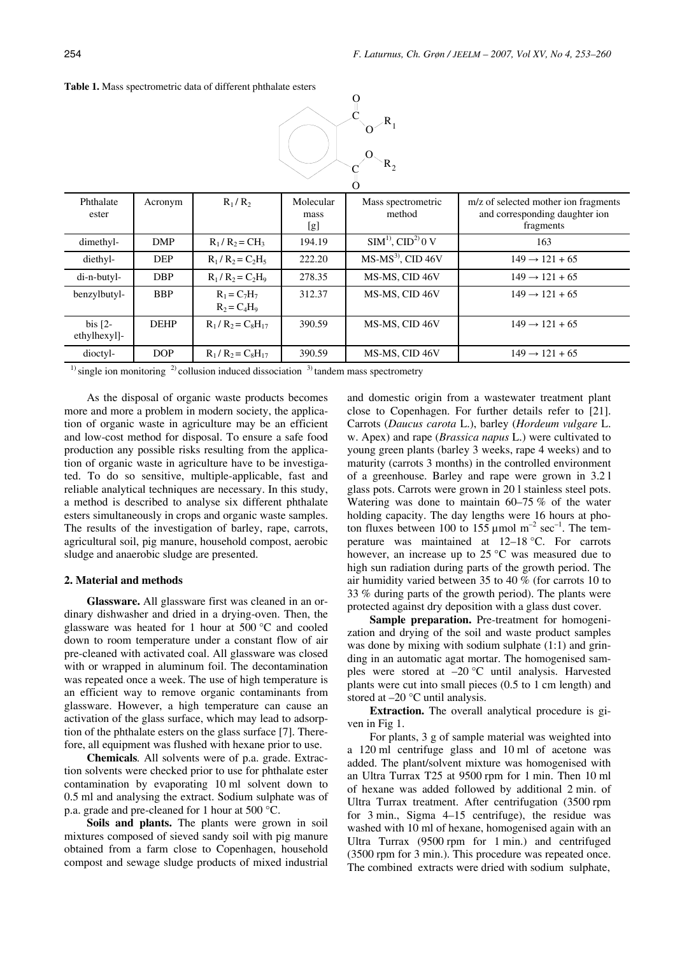| $R_2$                     |             |                                                            |                          |                              |                                                                                     |  |  |
|---------------------------|-------------|------------------------------------------------------------|--------------------------|------------------------------|-------------------------------------------------------------------------------------|--|--|
| Phthalate<br>ester        | Acronym     | $R_1/R_2$                                                  | Molecular<br>mass<br>[g] | Mass spectrometric<br>method | m/z of selected mother ion fragments<br>and corresponding daughter ion<br>fragments |  |  |
| dimethyl-                 | DMP         | $R_1/R_2 = CH_3$                                           | 194.19                   | $SIM1$ , $CID2$ 0 V          | 163                                                                                 |  |  |
| diethyl-                  | <b>DEP</b>  | $R_1/R_2 = C_2H_5$                                         | 222.20                   | $MS-MS3$ , CID 46V           | $149 \rightarrow 121 + 65$                                                          |  |  |
| di-n-butyl-               | <b>DBP</b>  | $R_1/R_2 = C_2H_9$                                         | 278.35                   | MS-MS, CID 46V               | $149 \rightarrow 121 + 65$                                                          |  |  |
| benzylbutyl-              | <b>BBP</b>  | $R_1 = C_7H_7$<br>$R_2 = C_4H_9$                           | 312.37                   | MS-MS, CID 46V               | $149 \rightarrow 121 + 65$                                                          |  |  |
| bis $[2-$<br>ethylhexyl]- | <b>DEHP</b> | $R_1/R_2 = C_8H_{17}$                                      | 390.59                   | MS-MS, CID 46V               | $149 \rightarrow 121 + 65$                                                          |  |  |
| dioctyl-                  | DOP         | $R_1/R_2 = C_8H_{17}$                                      | 390.59                   | MS-MS, CID 46V               | $149 \rightarrow 121 + 65$                                                          |  |  |
| $\mathbf{1}$              |             | $21$ and $21$ and $21$ and $21$ and $21$ and $21$ and $21$ | 2 <sub>1</sub>           |                              |                                                                                     |  |  |

C O

O

 $R_{1}$ 

O

#### **Table 1.** Mass spectrometric data of different phthalate esters

 $<sup>1</sup>$  single ion monitoring  $<sup>2</sup>$  collusion induced dissociation  $<sup>3</sup>$  tandem mass spectrometry</sup></sup></sup>

As the disposal of organic waste products becomes more and more a problem in modern society, the application of organic waste in agriculture may be an efficient and low-cost method for disposal. To ensure a safe food production any possible risks resulting from the application of organic waste in agriculture have to be investigated. To do so sensitive, multiple-applicable, fast and reliable analytical techniques are necessary. In this study, a method is described to analyse six different phthalate esters simultaneously in crops and organic waste samples. The results of the investigation of barley, rape, carrots, agricultural soil, pig manure, household compost, aerobic sludge and anaerobic sludge are presented.

# **2. Material and methods**

**Glassware.** All glassware first was cleaned in an ordinary dishwasher and dried in a drying-oven. Then, the glassware was heated for 1 hour at 500 °C and cooled down to room temperature under a constant flow of air pre-cleaned with activated coal. All glassware was closed with or wrapped in aluminum foil. The decontamination was repeated once a week. The use of high temperature is an efficient way to remove organic contaminants from glassware. However, a high temperature can cause an activation of the glass surface, which may lead to adsorption of the phthalate esters on the glass surface [7]. Therefore, all equipment was flushed with hexane prior to use.

**Chemicals***.* All solvents were of p.a. grade. Extraction solvents were checked prior to use for phthalate ester contamination by evaporating 10 ml solvent down to 0.5 ml and analysing the extract. Sodium sulphate was of p.a. grade and pre-cleaned for 1 hour at 500 °C.

**Soils and plants.** The plants were grown in soil mixtures composed of sieved sandy soil with pig manure obtained from a farm close to Copenhagen, household compost and sewage sludge products of mixed industrial and domestic origin from a wastewater treatment plant close to Copenhagen. For further details refer to [21]. Carrots (*Daucus carota* L.), barley (*Hordeum vulgare* L. w. Apex) and rape (*Brassica napus* L.) were cultivated to young green plants (barley 3 weeks, rape 4 weeks) and to maturity (carrots 3 months) in the controlled environment of a greenhouse. Barley and rape were grown in 3.2 l glass pots. Carrots were grown in 20 l stainless steel pots. Watering was done to maintain 60–75 % of the water holding capacity. The day lengths were 16 hours at photon fluxes between 100 to  $155 \mu$  mol m<sup>-2</sup> sec<sup>-1</sup>. The temperature was maintained at 12–18 °C. For carrots however, an increase up to 25 °C was measured due to high sun radiation during parts of the growth period. The air humidity varied between 35 to 40 % (for carrots 10 to 33 % during parts of the growth period). The plants were protected against dry deposition with a glass dust cover.

**Sample preparation.** Pre-treatment for homogenization and drying of the soil and waste product samples was done by mixing with sodium sulphate  $(1:1)$  and grinding in an automatic agat mortar. The homogenised samples were stored at –20 °C until analysis. Harvested plants were cut into small pieces (0.5 to 1 cm length) and stored at –20 °C until analysis.

**Extraction.** The overall analytical procedure is given in Fig 1.

For plants, 3 g of sample material was weighted into a 120 ml centrifuge glass and 10 ml of acetone was added. The plant/solvent mixture was homogenised with an Ultra Turrax T25 at 9500 rpm for 1 min. Then 10 ml of hexane was added followed by additional 2 min. of Ultra Turrax treatment. After centrifugation (3500 rpm for 3 min., Sigma 4–15 centrifuge), the residue was washed with 10 ml of hexane, homogenised again with an Ultra Turrax (9500 rpm for 1 min.) and centrifuged (3500 rpm for 3 min.). This procedure was repeated once. The combined extracts were dried with sodium sulphate,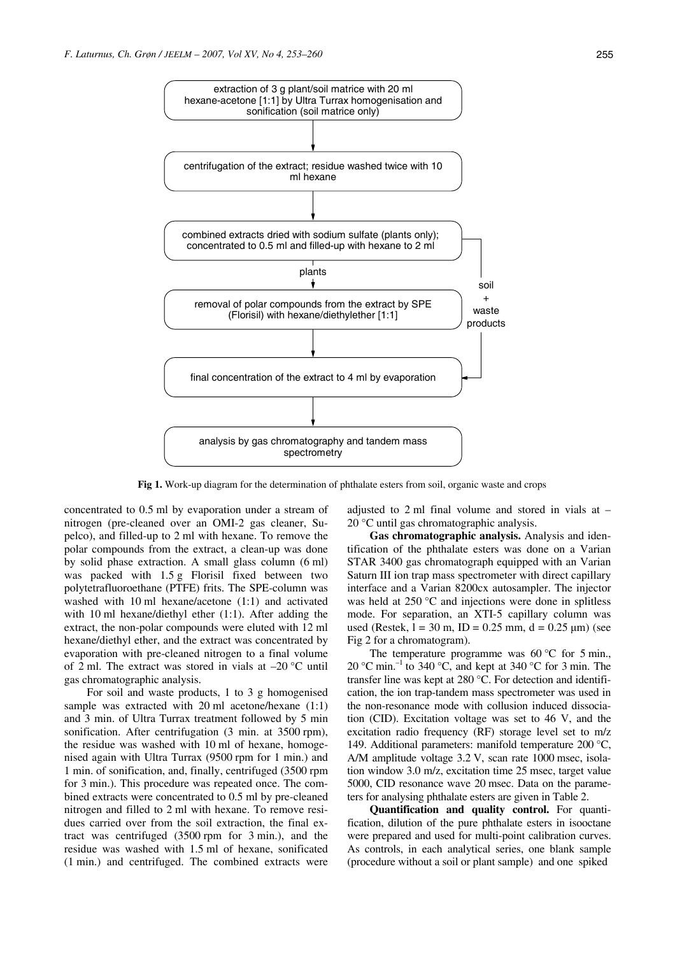

**Fig 1.** Work-up diagram for the determination of phthalate esters from soil, organic waste and crops

concentrated to 0.5 ml by evaporation under a stream of nitrogen (pre-cleaned over an OMI-2 gas cleaner, Supelco), and filled-up to 2 ml with hexane. To remove the polar compounds from the extract, a clean-up was done by solid phase extraction. A small glass column (6 ml) was packed with 1.5 g Florisil fixed between two polytetrafluoroethane (PTFE) frits. The SPE-column was washed with 10 ml hexane/acetone (1:1) and activated with 10 ml hexane/diethyl ether (1:1). After adding the extract, the non-polar compounds were eluted with 12 ml hexane/diethyl ether, and the extract was concentrated by evaporation with pre-cleaned nitrogen to a final volume of 2 ml. The extract was stored in vials at –20 °C until gas chromatographic analysis.

For soil and waste products, 1 to 3 g homogenised sample was extracted with 20 ml acetone/hexane  $(1:1)$ and 3 min. of Ultra Turrax treatment followed by 5 min sonification. After centrifugation (3 min. at 3500 rpm), the residue was washed with 10 ml of hexane, homogenised again with Ultra Turrax (9500 rpm for 1 min.) and 1 min. of sonification, and, finally, centrifuged (3500 rpm for 3 min.). This procedure was repeated once. The combined extracts were concentrated to 0.5 ml by pre-cleaned nitrogen and filled to 2 ml with hexane. To remove residues carried over from the soil extraction, the final extract was centrifuged (3500 rpm for 3 min.), and the residue was washed with 1.5 ml of hexane, sonificated (1 min.) and centrifuged. The combined extracts were

adjusted to 2 ml final volume and stored in vials at – 20 °C until gas chromatographic analysis.

**Gas chromatographic analysis.** Analysis and identification of the phthalate esters was done on a Varian STAR 3400 gas chromatograph equipped with an Varian Saturn III ion trap mass spectrometer with direct capillary interface and a Varian 8200cx autosampler. The injector was held at 250 °C and injections were done in splitless mode. For separation, an XTI-5 capillary column was used (Restek,  $l = 30$  m,  $ID = 0.25$  mm,  $d = 0.25$  µm) (see Fig 2 for a chromatogram).

The temperature programme was  $60^{\circ}$ C for 5 min., 20 °C min.<sup>-1</sup> to 340 °C, and kept at 340 °C for 3 min. The transfer line was kept at 280 °C. For detection and identification, the ion trap-tandem mass spectrometer was used in the non-resonance mode with collusion induced dissociation (CID). Excitation voltage was set to 46 V, and the excitation radio frequency (RF) storage level set to m/z 149. Additional parameters: manifold temperature 200 °C, A/M amplitude voltage 3.2 V, scan rate 1000 msec, isolation window 3.0 m/z, excitation time 25 msec, target value 5000, CID resonance wave 20 msec. Data on the parameters for analysing phthalate esters are given in Table 2.

**Quantification and quality control.** For quantification, dilution of the pure phthalate esters in isooctane were prepared and used for multi-point calibration curves. As controls, in each analytical series, one blank sample (procedure without a soil or plant sample) and one spiked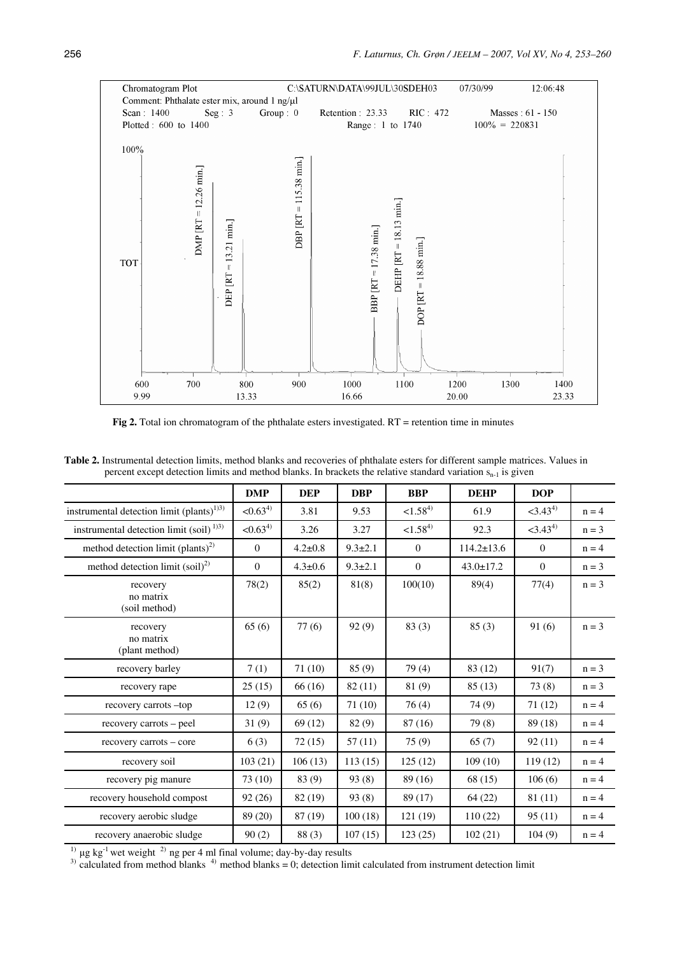

**Fig 2.** Total ion chromatogram of the phthalate esters investigated. RT = retention time in minutes

| Table 2. Instrumental detection limits, method blanks and recoveries of phthalate esters for different sample matrices. Values in |  |
|-----------------------------------------------------------------------------------------------------------------------------------|--|
| percent except detection limits and method blanks. In brackets the relative standard variation $s_{n-1}$ is given                 |  |

|                                                                  | <b>DMP</b>          | <b>DEP</b>    | <b>DBP</b>    | <b>BBP</b>     | <b>DEHP</b>      | <b>DOP</b>             |         |
|------------------------------------------------------------------|---------------------|---------------|---------------|----------------|------------------|------------------------|---------|
| instrumental detection limit (plants) <sup>1)3)</sup>            | $< 0.63^{4}$        | 3.81          | 9.53          | $< 1.58^{4}$   | 61.9             | $<$ 3.43 <sup>4)</sup> | $n = 4$ |
| instrumental detection limit (soil) <sup><math>1)3)</math></sup> | < 0.63 <sup>4</sup> | 3.26          | 3.27          | $< 1.58^{4}$   | 92.3             | $<$ 3.43 <sup>4)</sup> | $n = 3$ |
| method detection limit (plants) <sup>2)</sup>                    | $\mathbf{0}$        | $4.2 \pm 0.8$ | $9.3 \pm 2.1$ | $\overline{0}$ | $114.2 \pm 13.6$ | $\mathbf{0}$           | $n = 4$ |
| method detection limit $(soil)^2$                                | $\mathbf{0}$        | $4.3 \pm 0.6$ | $9.3 \pm 2.1$ | $\mathbf{0}$   | $43.0 \pm 17.2$  | $\mathbf{0}$           | $n = 3$ |
| recovery<br>no matrix<br>(soil method)                           | 78(2)               | 85(2)         | 81(8)         | 100(10)        | 89(4)            | 77(4)                  | $n = 3$ |
| recovery<br>no matrix<br>(plant method)                          | 65(6)               | 77(6)         | 92(9)         | 83(3)          | 85(3)            | 91(6)                  | $n = 3$ |
| recovery barley                                                  | 7(1)                | 71(10)        | 85(9)         | 79(4)          | 83 (12)          | 91(7)                  | $n = 3$ |
| recovery rape                                                    | 25(15)              | 66(16)        | 82(11)        | 81 (9)         | 85(13)           | 73(8)                  | $n = 3$ |
| recovery carrots -top                                            | 12(9)               | 65(6)         | 71(10)        | 76(4)          | 74 (9)           | 71(12)                 | $n = 4$ |
| recovery carrots – peel                                          | 31(9)               | 69(12)        | 82 (9)        | 87 (16)        | 79(8)            | 89 (18)                | $n = 4$ |
| recovery carrots – core                                          | 6(3)                | 72(15)        | 57(11)        | 75(9)          | 65(7)            | 92(11)                 | $n = 4$ |
| recovery soil                                                    | 103(21)             | 106(13)       | 113(15)       | 125(12)        | 109(10)          | 119(12)                | $n = 4$ |
| recovery pig manure                                              | 73(10)              | 83 (9)        | 93(8)         | 89 (16)        | 68 (15)          | 106(6)                 | $n = 4$ |
| recovery household compost                                       | 92(26)              | 82(19)        | 93(8)         | 89 (17)        | 64(22)           | 81 (11)                | $n = 4$ |
| recovery aerobic sludge                                          | 89 (20)             | 87 (19)       | 100(18)       | 121(19)        | 110(22)          | 95(11)                 | $n = 4$ |
| recovery anaerobic sludge                                        | 90(2)               | 88(3)         | 107(15)       | 123(25)        | 102(21)          | 104(9)                 | $n = 4$ |

<sup>1)</sup> μg kg<sup>-1</sup> wet weight <sup>2)</sup> ng per 4 ml final volume; day-by-day results

 $3)$  calculated from method blanks  $4)$  method blanks = 0; detection limit calculated from instrument detection limit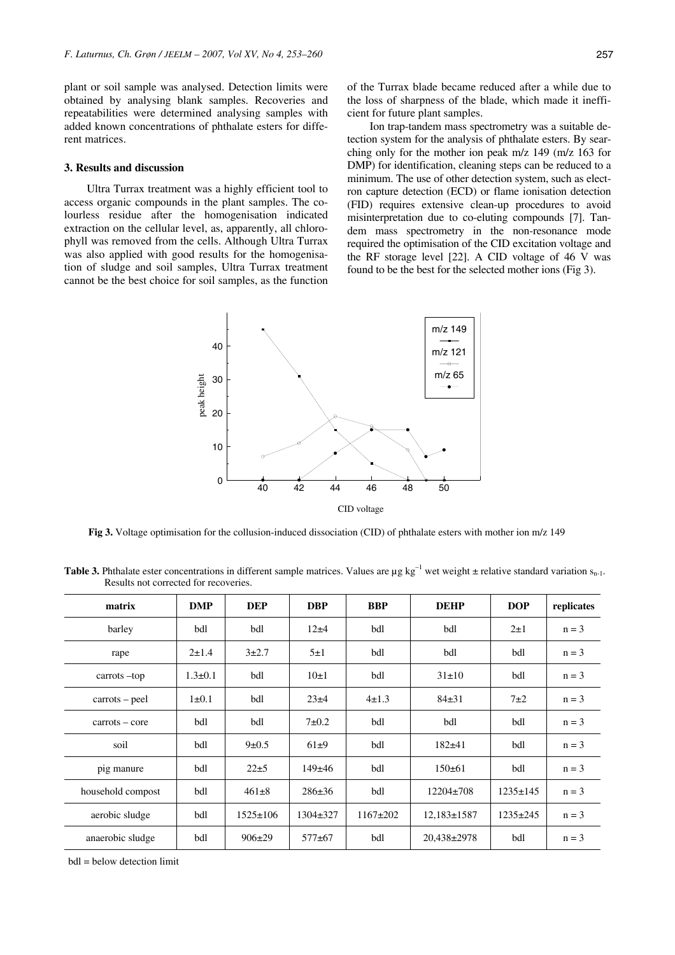plant or soil sample was analysed. Detection limits were obtained by analysing blank samples. Recoveries and repeatabilities were determined analysing samples with added known concentrations of phthalate esters for different matrices.

## **3. Results and discussion**

Ultra Turrax treatment was a highly efficient tool to access organic compounds in the plant samples. The colourless residue after the homogenisation indicated extraction on the cellular level, as, apparently, all chlorophyll was removed from the cells. Although Ultra Turrax was also applied with good results for the homogenisation of sludge and soil samples, Ultra Turrax treatment cannot be the best choice for soil samples, as the function of the Turrax blade became reduced after a while due to the loss of sharpness of the blade, which made it inefficient for future plant samples.

Ion trap-tandem mass spectrometry was a suitable detection system for the analysis of phthalate esters. By searching only for the mother ion peak m/z 149 (m/z 163 for DMP) for identification, cleaning steps can be reduced to a minimum. The use of other detection system, such as electron capture detection (ECD) or flame ionisation detection (FID) requires extensive clean-up procedures to avoid misinterpretation due to co-eluting compounds [7]. Tandem mass spectrometry in the non-resonance mode required the optimisation of the CID excitation voltage and the RF storage level [22]. A CID voltage of 46 V was found to be the best for the selected mother ions (Fig 3).



**Fig 3.** Voltage optimisation for the collusion-induced dissociation (CID) of phthalate esters with mother ion m/z 149

**Table 3.** Phthalate ester concentrations in different sample matrices. Values are  $\mu$ g kg<sup>-1</sup> wet weight  $\pm$  relative standard variation s<sub>n-1</sub>. Results not corrected for recoveries.

| matrix            | <b>DMP</b>    | <b>DEP</b>     | <b>DBP</b>     | <b>BBP</b>  | <b>DEHP</b>      | <b>DOP</b>     | replicates |
|-------------------|---------------|----------------|----------------|-------------|------------------|----------------|------------|
| barley            | bdl           | bdl            | $12\pm4$       | bdl         | bdl              | $2\pm 1$       | $n = 3$    |
| rape              | $2 \pm 1.4$   | $3+2.7$        | $5\pm1$        | bdl         | bdl              | bdl            | $n = 3$    |
| carrots-top       | $1.3 \pm 0.1$ | bdl            | $10\pm1$       | bdl         | $31\pm10$        | bdl            | $n = 3$    |
| $carrots - peel$  | $1\pm 0.1$    | bdl            | $23 + 4$       | $4 \pm 1.3$ | $84+31$          | $7\pm2$        | $n = 3$    |
| $carrots - core$  | bdl           | bdl            | $7\pm0.2$      | bdl         | bdl              | bdl            | $n = 3$    |
| soil              | bdl           | $9 \pm 0.5$    | $61\pm9$       | bdl         | $182 + 41$       | bdl            | $n = 3$    |
| pig manure        | bdl           | $22 \pm 5$     | $149+46$       | bdl         | $150 \pm 61$     | bdl            | $n = 3$    |
| household compost | bdl           | $461 \pm 8$    | $286 \pm 36$   | bdl         | $12204 \pm 708$  | $1235 \pm 145$ | $n = 3$    |
| aerobic sludge    | bdl           | $1525 \pm 106$ | $1304 \pm 327$ | $1167+202$  | $12,183\pm 1587$ | $1235 \pm 245$ | $n = 3$    |
| anaerobic sludge  | bdl           | $906\pm29$     | $577+67$       | bdl         | $20,438\pm 2978$ | bdl            | $n = 3$    |

bdl = below detection limit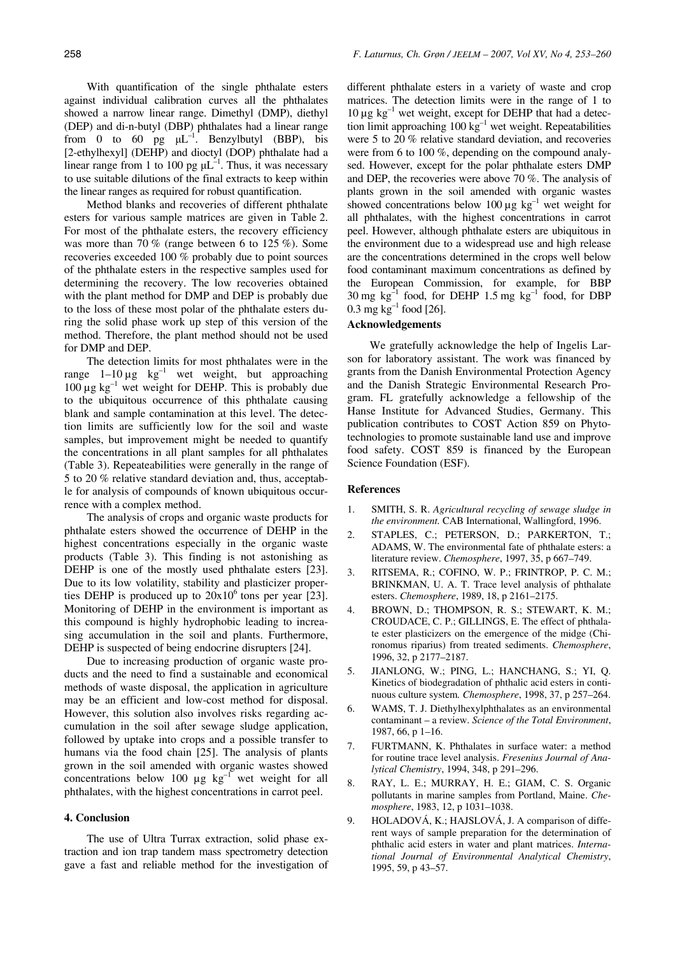With quantification of the single phthalate esters against individual calibration curves all the phthalates showed a narrow linear range. Dimethyl (DMP), diethyl (DEP) and di-n-butyl (DBP) phthalates had a linear range from 0 to 60 pg  $\mu L^{-1}$ . Benzylbutyl (BBP), bis [2-ethylhexyl] (DEHP) and dioctyl (DOP) phthalate had a linear range from 1 to 100 pg  $\mu L^{-1}$ . Thus, it was necessary to use suitable dilutions of the final extracts to keep within the linear ranges as required for robust quantification.

Method blanks and recoveries of different phthalate esters for various sample matrices are given in Table 2. For most of the phthalate esters, the recovery efficiency was more than 70 % (range between 6 to 125 %). Some recoveries exceeded 100 % probably due to point sources of the phthalate esters in the respective samples used for determining the recovery. The low recoveries obtained with the plant method for DMP and DEP is probably due to the loss of these most polar of the phthalate esters during the solid phase work up step of this version of the method. Therefore, the plant method should not be used for DMP and DEP.

The detection limits for most phthalates were in the range  $1-10 \mu g$  kg<sup>-1</sup> wet weight, but approaching  $100 \mu g kg^{-1}$  wet weight for DEHP. This is probably due to the ubiquitous occurrence of this phthalate causing blank and sample contamination at this level. The detection limits are sufficiently low for the soil and waste samples, but improvement might be needed to quantify the concentrations in all plant samples for all phthalates (Table 3). Repeateabilities were generally in the range of 5 to 20 % relative standard deviation and, thus, acceptable for analysis of compounds of known ubiquitous occurrence with a complex method.

The analysis of crops and organic waste products for phthalate esters showed the occurrence of DEHP in the highest concentrations especially in the organic waste products (Table 3). This finding is not astonishing as DEHP is one of the mostly used phthalate esters [23]. Due to its low volatility, stability and plasticizer properties DEHP is produced up to  $20x10^6$  tons per year [23]. Monitoring of DEHP in the environment is important as this compound is highly hydrophobic leading to increasing accumulation in the soil and plants. Furthermore, DEHP is suspected of being endocrine disrupters [24].

Due to increasing production of organic waste products and the need to find a sustainable and economical methods of waste disposal, the application in agriculture may be an efficient and low-cost method for disposal. However, this solution also involves risks regarding accumulation in the soil after sewage sludge application, followed by uptake into crops and a possible transfer to humans via the food chain [25]. The analysis of plants grown in the soil amended with organic wastes showed concentrations below 100  $\mu$ g kg<sup>-1</sup> wet weight for all phthalates, with the highest concentrations in carrot peel.

# **4. Conclusion**

The use of Ultra Turrax extraction, solid phase extraction and ion trap tandem mass spectrometry detection gave a fast and reliable method for the investigation of different phthalate esters in a variety of waste and crop matrices. The detection limits were in the range of 1 to  $10 \mu g kg^{-1}$  wet weight, except for DEHP that had a detection limit approaching 100 kg–1 wet weight. Repeatabilities were 5 to 20 % relative standard deviation, and recoveries were from 6 to 100 %, depending on the compound analysed. However, except for the polar phthalate esters DMP and DEP, the recoveries were above 70 %. The analysis of plants grown in the soil amended with organic wastes showed concentrations below 100  $\mu$ g kg<sup>-1</sup> wet weight for all phthalates, with the highest concentrations in carrot peel. However, although phthalate esters are ubiquitous in the environment due to a widespread use and high release are the concentrations determined in the crops well below food contaminant maximum concentrations as defined by the European Commission, for example, for BBP 30 mg  $kg^{-1}$  food, for DEHP 1.5 mg  $kg^{-1}$  food, for DBP 0.3 mg  $kg^{-1}$  food [26].

# **Acknowledgements**

We gratefully acknowledge the help of Ingelis Larson for laboratory assistant. The work was financed by grants from the Danish Environmental Protection Agency and the Danish Strategic Environmental Research Program. FL gratefully acknowledge a fellowship of the Hanse Institute for Advanced Studies, Germany. This publication contributes to COST Action 859 on Phytotechnologies to promote sustainable land use and improve food safety. COST 859 is financed by the European Science Foundation (ESF).

## **References**

- 1. SMITH, S. R. *Agricultural recycling of sewage sludge in the environment.* CAB International, Wallingford, 1996.
- 2. STAPLES, C.; PETERSON, D.; PARKERTON, T.; ADAMS, W. The environmental fate of phthalate esters: a literature review. *Chemosphere*, 1997, 35, p 667–749.
- 3. RITSEMA, R.; COFINO, W. P.; FRINTROP, P. C. M.; BRINKMAN, U. A. T. Trace level analysis of phthalate esters. *Chemosphere*, 1989, 18, p 2161–2175.
- 4. BROWN, D.; THOMPSON, R. S.; STEWART, K. M.; CROUDACE, C. P.; GILLINGS, E. The effect of phthalate ester plasticizers on the emergence of the midge (Chironomus riparius) from treated sediments. *Chemosphere*, 1996, 32, p 2177–2187.
- 5. JIANLONG, W.; PING, L.; HANCHANG, S.; YI, Q. Kinetics of biodegradation of phthalic acid esters in continuous culture system*. Chemosphere*, 1998, 37, p 257–264.
- 6. WAMS, T. J. Diethylhexylphthalates as an environmental contaminant – a review. *Science of the Total Environment*, 1987, 66, p 1–16.
- 7. FURTMANN, K. Phthalates in surface water: a method for routine trace level analysis. *Fresenius Journal of Analytical Chemistry*, 1994, 348, p 291–296.
- 8. RAY, L. E.; MURRAY, H. E.; GIAM, C. S. Organic pollutants in marine samples from Portland, Maine. *Chemosphere*, 1983, 12, p 1031–1038.
- 9. HOLADOVÁ, K.; HAJSLOVÁ, J. A comparison of different ways of sample preparation for the determination of phthalic acid esters in water and plant matrices. *International Journal of Environmental Analytical Chemistry*, 1995, 59, p 43–57.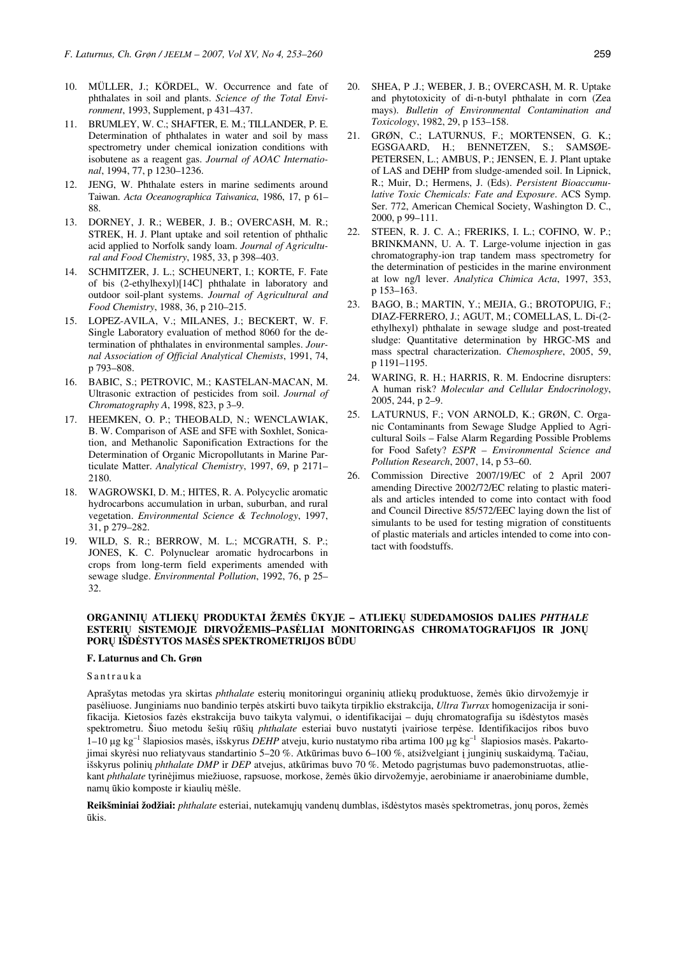- 10. MÜLLER, J.; KÖRDEL, W. Occurrence and fate of phthalates in soil and plants. *Science of the Total Environment*, 1993, Supplement, p 431–437.
- 11. BRUMLEY, W. C.; SHAFTER, E. M.; TILLANDER, P. E. Determination of phthalates in water and soil by mass spectrometry under chemical ionization conditions with isobutene as a reagent gas. *Journal of AOAC International*, 1994, 77, p 1230–1236.
- 12. JENG, W. Phthalate esters in marine sediments around Taiwan. *Acta Oceanographica Taiwanica*, 1986, 17, p 61– 88.
- 13. DORNEY, J. R.; WEBER, J. B.; OVERCASH, M. R.; STREK, H. J. Plant uptake and soil retention of phthalic acid applied to Norfolk sandy loam. *Journal of Agricultural and Food Chemistry*, 1985, 33, p 398–403.
- 14. SCHMITZER, J. L.; SCHEUNERT, I.; KORTE, F. Fate of bis (2-ethylhexyl)[14C] phthalate in laboratory and outdoor soil-plant systems. *Journal of Agricultural and Food Chemistry*, 1988, 36, p 210–215.
- 15. LOPEZ-AVILA, V.; MILANES, J.; BECKERT, W. F. Single Laboratory evaluation of method 8060 for the determination of phthalates in environmental samples. *Journal Association of Official Analytical Chemists*, 1991, 74, p 793–808.
- 16. BABIC, S.; PETROVIC, M.; KASTELAN-MACAN, M. Ultrasonic extraction of pesticides from soil. *Journal of Chromatography A*, 1998, 823, p 3–9.
- 17. HEEMKEN, O. P.; THEOBALD, N.; WENCLAWIAK, B. W. Comparison of ASE and SFE with Soxhlet, Sonication, and Methanolic Saponification Extractions for the Determination of Organic Micropollutants in Marine Particulate Matter. *Analytical Chemistry*, 1997, 69, p 2171– 2180.
- 18. WAGROWSKI, D. M.; HITES, R. A. Polycyclic aromatic hydrocarbons accumulation in urban, suburban, and rural vegetation. *Environmental Science & Technology*, 1997, 31, p 279–282.
- 19. WILD, S. R.; BERROW, M. L.; MCGRATH, S. P.; JONES, K. C. Polynuclear aromatic hydrocarbons in crops from long-term field experiments amended with sewage sludge. *Environmental Pollution*, 1992, 76, p 25– 32.
- 20. SHEA, P .J.; WEBER, J. B.; OVERCASH, M. R. Uptake and phytotoxicity of di-n-butyl phthalate in corn (Zea mays). *Bulletin of Environmental Contamination and Toxicology*, 1982, 29, p 153–158.
- 21. GRØN, C.; LATURNUS, F.; MORTENSEN, G. K.; EGSGAARD, H.; BENNETZEN, S.; SAMSØE-PETERSEN, L.; AMBUS, P.; JENSEN, E. J. Plant uptake of LAS and DEHP from sludge*-*amended soil. In Lipnick, R.; Muir, D.; Hermens, J. (Eds). *Persistent Bioaccumulative Toxic Chemicals: Fate and Exposure*. ACS Symp. Ser. 772, American Chemical Society, Washington D. C., 2000, p 99–111.
- 22. STEEN, R. J. C. A.; FRERIKS, I. L.; COFINO, W. P.; BRINKMANN, U. A. T. Large-volume injection in gas chromatography-ion trap tandem mass spectrometry for the determination of pesticides in the marine environment at low ng/l lever. *Analytica Chimica Acta*, 1997, 353, p 153–163.
- 23. BAGO, B.; MARTIN, Y.; MEJIA, G.; BROTOPUIG, F.; DIAZ-FERRERO, J.; AGUT, M.; COMELLAS, L. Di-(2 ethylhexyl) phthalate in sewage sludge and post-treated sludge: Quantitative determination by HRGC-MS and mass spectral characterization. *Chemosphere*, 2005, 59, p 1191–1195.
- 24. WARING, R. H.; HARRIS, R. M. Endocrine disrupters: A human risk? *Molecular and Cellular Endocrinology*, 2005, 244, p 2–9.
- 25. LATURNUS, F.; VON ARNOLD, K.; GRØN, C. Organic Contaminants from Sewage Sludge Applied to Agricultural Soils – False Alarm Regarding Possible Problems for Food Safety? *ESPR – Environmental Science and Pollution Research*, 2007, 14, p 53–60.
- 26. Commission Directive 2007/19/EC of 2 April 2007 amending Directive 2002/72/EC relating to plastic materials and articles intended to come into contact with food and Council Directive 85/572/EEC laying down the list of simulants to be used for testing migration of constituents of plastic materials and articles intended to come into contact with foodstuffs.

# **ORGANINI**Ų **ATLIEK**Ų **PRODUKTAI ŽEM**Ė**S** Ū**KYJE – ATLIEK**Ų **SUDEDAMOSIOS DALIES** *PHTHALE* **ESTERI**Ų **SISTEMOJE DIRVOŽEMIS–PAS**Ė**LIAI MONITORINGAS CHROMATOGRAFIJOS IR JON**Ų **POR**Ų **IŠD**Ė**STYTOS MAS**Ė**S SPEKTROMETRIJOS B**Ū**DU**

## **F. Laturnus and Ch. Grøn**

## Santrauka

Aprašytas metodas yra skirtas *phthalate* esterių monitoringui organinių atliekų produktuose, žemės ūkio dirvožemyje ir pasėliuose. Junginiams nuo bandinio terpės atskirti buvo taikyta tirpiklio ekstrakcija, *Ultra Turrax* homogenizacija ir sonifikacija. Kietosios fazės ekstrakcija buvo taikyta valymui, o identifikacijai – dujų chromatografija su išdėstytos masės spektrometru. Šiuo metodu šešių rūšių *phthalate* esteriai buvo nustatyti įvairiose terpėse. Identifikacijos ribos buvo 1–10 µg kg–1 šlapiosios masės, išskyrus *DEHP* atveju, kurio nustatymo riba artima 100 µg kg–1 šlapiosios masės. Pakartojimai skyrėsi nuo reliatyvaus standartinio 5–20 %. Atkūrimas buvo 6–100 %, atsižvelgiant į junginių suskaidymą. Tačiau, išskyrus polinių *phthalate DMP* ir *DEP* atvejus, atkūrimas buvo 70 %. Metodo pagrįstumas buvo pademonstruotas, atliekant *phthalate* tyrinėjimus miežiuose, rapsuose, morkose, žemės ūkio dirvožemyje, aerobiniame ir anaerobiniame dumble, namų ūkio komposte ir kiaulių mėšle.

**Reikšminiai žodžiai:** *phthalate* esteriai, nutekamųjų vandenų dumblas, išdėstytos masės spektrometras, jonų poros, žemės ūkis.